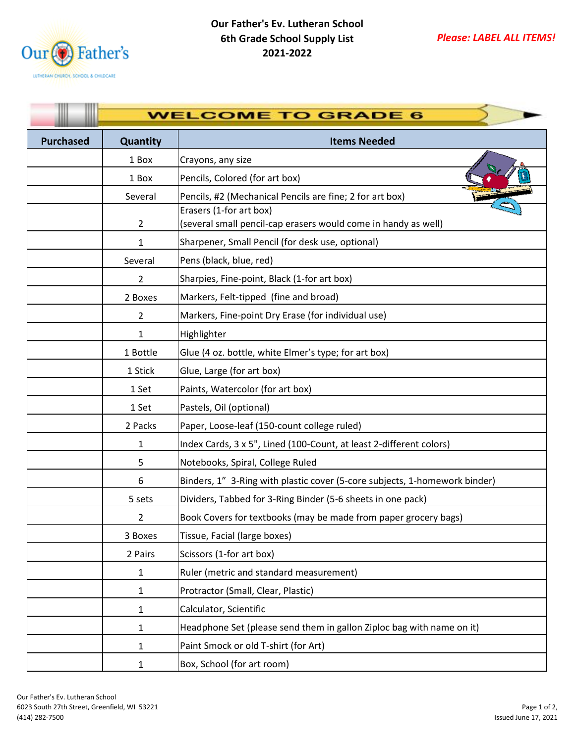

|                  | <b>WELCOME TO GRADE 6</b> |                                                                                           |  |
|------------------|---------------------------|-------------------------------------------------------------------------------------------|--|
| <b>Purchased</b> | Quantity                  | <b>Items Needed</b>                                                                       |  |
|                  | 1 Box                     | Crayons, any size                                                                         |  |
|                  | 1 Box                     | Pencils, Colored (for art box)                                                            |  |
|                  | Several                   | Pencils, #2 (Mechanical Pencils are fine; 2 for art box)                                  |  |
|                  | $\overline{2}$            | Erasers (1-for art box)<br>(several small pencil-cap erasers would come in handy as well) |  |
|                  | 1                         | Sharpener, Small Pencil (for desk use, optional)                                          |  |
|                  | Several                   | Pens (black, blue, red)                                                                   |  |
|                  | 2                         | Sharpies, Fine-point, Black (1-for art box)                                               |  |
|                  | 2 Boxes                   | Markers, Felt-tipped (fine and broad)                                                     |  |
|                  | $\overline{2}$            | Markers, Fine-point Dry Erase (for individual use)                                        |  |
|                  | 1                         | Highlighter                                                                               |  |
|                  | 1 Bottle                  | Glue (4 oz. bottle, white Elmer's type; for art box)                                      |  |
|                  | 1 Stick                   | Glue, Large (for art box)                                                                 |  |
|                  | 1 Set                     | Paints, Watercolor (for art box)                                                          |  |
|                  | 1 Set                     | Pastels, Oil (optional)                                                                   |  |
|                  | 2 Packs                   | Paper, Loose-leaf (150-count college ruled)                                               |  |
|                  | 1                         | Index Cards, 3 x 5", Lined (100-Count, at least 2-different colors)                       |  |
|                  | 5                         | Notebooks, Spiral, College Ruled                                                          |  |
|                  | 6                         | Binders, 1" 3-Ring with plastic cover (5-core subjects, 1-homework binder)                |  |
|                  | 5 sets                    | Dividers, Tabbed for 3-Ring Binder (5-6 sheets in one pack)                               |  |
|                  | $\overline{2}$            | Book Covers for textbooks (may be made from paper grocery bags)                           |  |
|                  | 3 Boxes                   | Tissue, Facial (large boxes)                                                              |  |
|                  | 2 Pairs                   | Scissors (1-for art box)                                                                  |  |
|                  | 1                         | Ruler (metric and standard measurement)                                                   |  |
|                  | 1                         | Protractor (Small, Clear, Plastic)                                                        |  |
|                  | 1                         | Calculator, Scientific                                                                    |  |
|                  | 1                         | Headphone Set (please send them in gallon Ziploc bag with name on it)                     |  |
|                  | 1                         | Paint Smock or old T-shirt (for Art)                                                      |  |
|                  | 1                         | Box, School (for art room)                                                                |  |